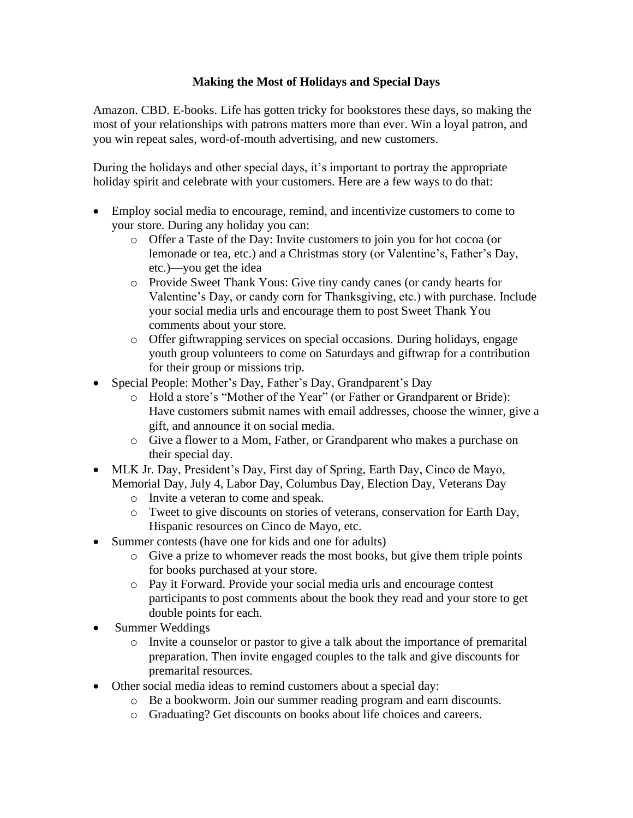## **Making the Most of Holidays and Special Days**

Amazon. CBD. E-books. Life has gotten tricky for bookstores these days, so making the most of your relationships with patrons matters more than ever. Win a loyal patron, and you win repeat sales, word-of-mouth advertising, and new customers.

During the holidays and other special days, it's important to portray the appropriate holiday spirit and celebrate with your customers. Here are a few ways to do that:

- Employ social media to encourage, remind, and incentivize customers to come to your store. During any holiday you can:
	- o Offer a Taste of the Day: Invite customers to join you for hot cocoa (or lemonade or tea, etc.) and a Christmas story (or Valentine's, Father's Day, etc.)—you get the idea
	- o Provide Sweet Thank Yous: Give tiny candy canes (or candy hearts for Valentine's Day, or candy corn for Thanksgiving, etc.) with purchase. Include your social media urls and encourage them to post Sweet Thank You comments about your store.
	- o Offer giftwrapping services on special occasions. During holidays, engage youth group volunteers to come on Saturdays and giftwrap for a contribution for their group or missions trip.
- Special People: Mother's Day, Father's Day, Grandparent's Day
	- o Hold a store's "Mother of the Year" (or Father or Grandparent or Bride): Have customers submit names with email addresses, choose the winner, give a gift, and announce it on social media.
	- o Give a flower to a Mom, Father, or Grandparent who makes a purchase on their special day.
- MLK Jr. Day, President's Day, First day of Spring, Earth Day, Cinco de Mayo, Memorial Day, July 4, Labor Day, Columbus Day, Election Day, Veterans Day
	- o Invite a veteran to come and speak.
	- o Tweet to give discounts on stories of veterans, conservation for Earth Day, Hispanic resources on Cinco de Mayo, etc.
- Summer contests (have one for kids and one for adults)
	- $\circ$  Give a prize to whomever reads the most books, but give them triple points for books purchased at your store.
	- o Pay it Forward. Provide your social media urls and encourage contest participants to post comments about the book they read and your store to get double points for each.
- Summer Weddings
	- o Invite a counselor or pastor to give a talk about the importance of premarital preparation. Then invite engaged couples to the talk and give discounts for premarital resources.
- Other social media ideas to remind customers about a special day:
	- o Be a bookworm. Join our summer reading program and earn discounts.
	- o Graduating? Get discounts on books about life choices and careers.